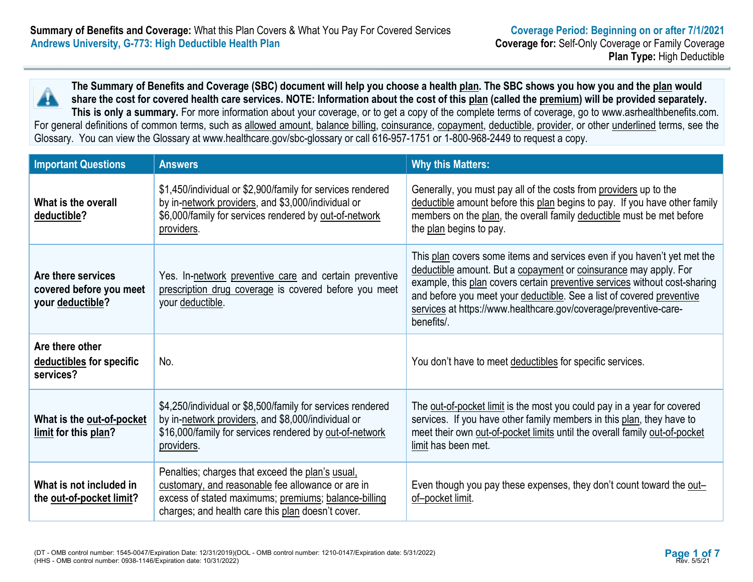

**The Summary of Benefits and Coverage (SBC) document will help you choose a health plan. The SBC shows you how you and the plan would share the cost for covered health care services. NOTE: Information about the cost of this plan (called the premium) will be provided separately. This is only a summary.** For more information about your coverage, or to get a copy of the complete terms of coverage, go to www.asrhealthbenefits.com.

For general definitions of common terms, such as allowed amount, balance billing, coinsurance, copayment, deductible, provider, or other underlined terms, see the Glossary. You can view the Glossary at www.healthcare.gov/sbc-glossary or call 616-957-1751 or 1-800-968-2449 to request a copy.

| <b>Important Questions</b>                                        | <b>Answers</b>                                                                                                                                                                                                     | <b>Why this Matters:</b>                                                                                                                                                                                                                                                                                                                                                              |
|-------------------------------------------------------------------|--------------------------------------------------------------------------------------------------------------------------------------------------------------------------------------------------------------------|---------------------------------------------------------------------------------------------------------------------------------------------------------------------------------------------------------------------------------------------------------------------------------------------------------------------------------------------------------------------------------------|
| What is the overall<br>deductible?                                | \$1,450/individual or \$2,900/family for services rendered<br>by in-network providers, and \$3,000/individual or<br>\$6,000/family for services rendered by out-of-network<br>providers.                           | Generally, you must pay all of the costs from providers up to the<br>deductible amount before this plan begins to pay. If you have other family<br>members on the plan, the overall family deductible must be met before<br>the plan begins to pay.                                                                                                                                   |
| Are there services<br>covered before you meet<br>your deductible? | Yes. In-network preventive care and certain preventive<br>prescription drug coverage is covered before you meet<br>your deductible.                                                                                | This plan covers some items and services even if you haven't yet met the<br>deductible amount. But a copayment or coinsurance may apply. For<br>example, this plan covers certain preventive services without cost-sharing<br>and before you meet your deductible. See a list of covered preventive<br>services at https://www.healthcare.gov/coverage/preventive-care-<br>benefits/. |
| Are there other<br>deductibles for specific<br>services?          | No.                                                                                                                                                                                                                | You don't have to meet deductibles for specific services.                                                                                                                                                                                                                                                                                                                             |
| What is the out-of-pocket<br>limit for this plan?                 | \$4,250/individual or \$8,500/family for services rendered<br>by in-network providers, and \$8,000/individual or<br>\$16,000/family for services rendered by out-of-network<br>providers.                          | The out-of-pocket limit is the most you could pay in a year for covered<br>services. If you have other family members in this plan, they have to<br>meet their own out-of-pocket limits until the overall family out-of-pocket<br>limit has been met.                                                                                                                                 |
| What is not included in<br>the <u>out-of-pocket limit</u> ?       | Penalties; charges that exceed the plan's usual.<br>customary, and reasonable fee allowance or are in<br>excess of stated maximums; premiums; balance-billing<br>charges; and health care this plan doesn't cover. | Even though you pay these expenses, they don't count toward the out-<br>of-pocket limit.                                                                                                                                                                                                                                                                                              |

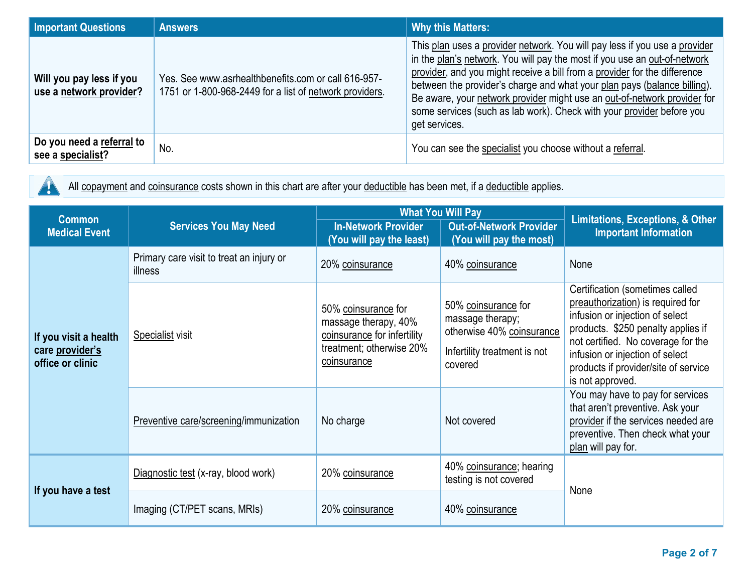| <b>Important Questions</b>                          | <b>Answers</b>                                                                                                 | <b>Why this Matters:</b>                                                                                                                                                                                                                                                                                                                                                                                                                                                               |
|-----------------------------------------------------|----------------------------------------------------------------------------------------------------------------|----------------------------------------------------------------------------------------------------------------------------------------------------------------------------------------------------------------------------------------------------------------------------------------------------------------------------------------------------------------------------------------------------------------------------------------------------------------------------------------|
| Will you pay less if you<br>use a network provider? | Yes. See www.asrhealthbenefits.com or call 616-957-<br>1751 or 1-800-968-2449 for a list of network providers. | This plan uses a provider network. You will pay less if you use a provider<br>in the plan's network. You will pay the most if you use an out-of-network<br>provider, and you might receive a bill from a provider for the difference<br>between the provider's charge and what your plan pays (balance billing).<br>Be aware, your network provider might use an out-of-network provider for<br>some services (such as lab work). Check with your provider before you<br>get services. |
| Do you need a referral to<br>see a specialist?      | No.                                                                                                            | You can see the specialist you choose without a referral.                                                                                                                                                                                                                                                                                                                                                                                                                              |

All copayment and coinsurance costs shown in this chart are after your deductible has been met, if a deductible applies.  $\blacktriangle$ 

| <b>Common</b>                                                | <b>Services You May Need</b>                        | <b>What You Will Pay</b>                                                                                              |                                                                                                                 | <b>Limitations, Exceptions, &amp; Other</b>                                                                                                                                                                                                                                        |
|--------------------------------------------------------------|-----------------------------------------------------|-----------------------------------------------------------------------------------------------------------------------|-----------------------------------------------------------------------------------------------------------------|------------------------------------------------------------------------------------------------------------------------------------------------------------------------------------------------------------------------------------------------------------------------------------|
| <b>Medical Event</b>                                         |                                                     | <b>In-Network Provider</b><br>(You will pay the least)                                                                | <b>Out-of-Network Provider</b><br>(You will pay the most)                                                       | <b>Important Information</b>                                                                                                                                                                                                                                                       |
|                                                              | Primary care visit to treat an injury or<br>illness | 20% coinsurance                                                                                                       | 40% coinsurance                                                                                                 | None                                                                                                                                                                                                                                                                               |
| If you visit a health<br>care provider's<br>office or clinic | <b>Specialist visit</b>                             | 50% coinsurance for<br>massage therapy, 40%<br>coinsurance for infertility<br>treatment; otherwise 20%<br>coinsurance | 50% coinsurance for<br>massage therapy;<br>otherwise 40% coinsurance<br>Infertility treatment is not<br>covered | Certification (sometimes called<br>preauthorization) is required for<br>infusion or injection of select<br>products. \$250 penalty applies if<br>not certified. No coverage for the<br>infusion or injection of select<br>products if provider/site of service<br>is not approved. |
|                                                              | Preventive care/screening/immunization              | No charge                                                                                                             | Not covered                                                                                                     | You may have to pay for services<br>that aren't preventive. Ask your<br>provider if the services needed are<br>preventive. Then check what your<br>plan will pay for.                                                                                                              |
| If you have a test                                           | Diagnostic test (x-ray, blood work)                 | 20% coinsurance                                                                                                       | 40% coinsurance; hearing<br>testing is not covered                                                              | None                                                                                                                                                                                                                                                                               |
|                                                              | Imaging (CT/PET scans, MRIs)                        | 20% coinsurance                                                                                                       | 40% coinsurance                                                                                                 |                                                                                                                                                                                                                                                                                    |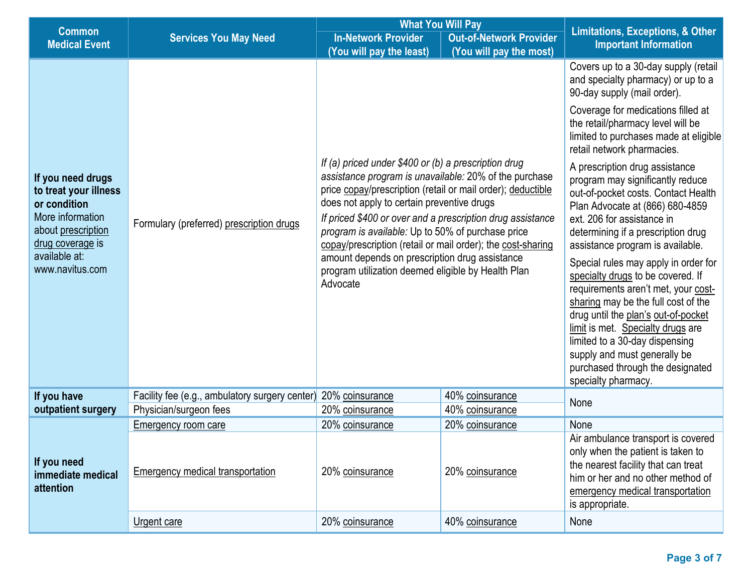|                                                                                                                                                              |                                                | <b>What You Will Pay</b>                                                                                                                                                                                                                                                                                                                                                                                                                                                                                                          |                                |                                                                                                                                                                                                                                                                                                                                                                                                                                                        |
|--------------------------------------------------------------------------------------------------------------------------------------------------------------|------------------------------------------------|-----------------------------------------------------------------------------------------------------------------------------------------------------------------------------------------------------------------------------------------------------------------------------------------------------------------------------------------------------------------------------------------------------------------------------------------------------------------------------------------------------------------------------------|--------------------------------|--------------------------------------------------------------------------------------------------------------------------------------------------------------------------------------------------------------------------------------------------------------------------------------------------------------------------------------------------------------------------------------------------------------------------------------------------------|
| <b>Common</b><br><b>Medical Event</b>                                                                                                                        | <b>Services You May Need</b>                   | <b>In-Network Provider</b>                                                                                                                                                                                                                                                                                                                                                                                                                                                                                                        | <b>Out-of-Network Provider</b> | <b>Limitations, Exceptions, &amp; Other</b><br><b>Important Information</b>                                                                                                                                                                                                                                                                                                                                                                            |
|                                                                                                                                                              |                                                | (You will pay the least)                                                                                                                                                                                                                                                                                                                                                                                                                                                                                                          | (You will pay the most)        |                                                                                                                                                                                                                                                                                                                                                                                                                                                        |
|                                                                                                                                                              |                                                |                                                                                                                                                                                                                                                                                                                                                                                                                                                                                                                                   |                                | Covers up to a 30-day supply (retail<br>and specialty pharmacy) or up to a<br>90-day supply (mail order).                                                                                                                                                                                                                                                                                                                                              |
|                                                                                                                                                              |                                                |                                                                                                                                                                                                                                                                                                                                                                                                                                                                                                                                   |                                | Coverage for medications filled at<br>the retail/pharmacy level will be<br>limited to purchases made at eligible<br>retail network pharmacies.                                                                                                                                                                                                                                                                                                         |
| If you need drugs<br>to treat your illness<br>or condition<br>More information<br>about prescription<br>drug coverage is<br>available at:<br>www.navitus.com | Formulary (preferred) prescription drugs       | If (a) priced under \$400 or (b) a prescription drug<br>assistance program is unavailable: 20% of the purchase<br>price copay/prescription (retail or mail order); deductible<br>does not apply to certain preventive drugs<br>If priced \$400 or over and a prescription drug assistance<br>program is available: Up to 50% of purchase price<br>copay/prescription (retail or mail order); the cost-sharing<br>amount depends on prescription drug assistance<br>program utilization deemed eligible by Health Plan<br>Advocate |                                | A prescription drug assistance<br>program may significantly reduce<br>out-of-pocket costs. Contact Health<br>Plan Advocate at (866) 680-4859<br>ext. 206 for assistance in<br>determining if a prescription drug<br>assistance program is available.<br>Special rules may apply in order for<br>specialty drugs to be covered. If<br>requirements aren't met, your cost-<br>sharing may be the full cost of the<br>drug until the plan's out-of-pocket |
|                                                                                                                                                              |                                                |                                                                                                                                                                                                                                                                                                                                                                                                                                                                                                                                   |                                | limit is met. Specialty drugs are<br>limited to a 30-day dispensing<br>supply and must generally be<br>purchased through the designated<br>specialty pharmacy.                                                                                                                                                                                                                                                                                         |
| If you have                                                                                                                                                  | Facility fee (e.g., ambulatory surgery center) | 20% coinsurance                                                                                                                                                                                                                                                                                                                                                                                                                                                                                                                   | 40% coinsurance                | None                                                                                                                                                                                                                                                                                                                                                                                                                                                   |
| outpatient surgery                                                                                                                                           | Physician/surgeon fees                         | 20% coinsurance                                                                                                                                                                                                                                                                                                                                                                                                                                                                                                                   | 40% coinsurance                |                                                                                                                                                                                                                                                                                                                                                                                                                                                        |
|                                                                                                                                                              | Emergency room care                            | 20% coinsurance                                                                                                                                                                                                                                                                                                                                                                                                                                                                                                                   | 20% coinsurance                | None                                                                                                                                                                                                                                                                                                                                                                                                                                                   |
| If you need<br>immediate medical<br>attention                                                                                                                | Emergency medical transportation               | 20% coinsurance                                                                                                                                                                                                                                                                                                                                                                                                                                                                                                                   | 20% coinsurance                | Air ambulance transport is covered<br>only when the patient is taken to<br>the nearest facility that can treat<br>him or her and no other method of<br>emergency medical transportation<br>is appropriate.                                                                                                                                                                                                                                             |
|                                                                                                                                                              | Urgent care                                    | 20% coinsurance                                                                                                                                                                                                                                                                                                                                                                                                                                                                                                                   | 40% coinsurance                | None                                                                                                                                                                                                                                                                                                                                                                                                                                                   |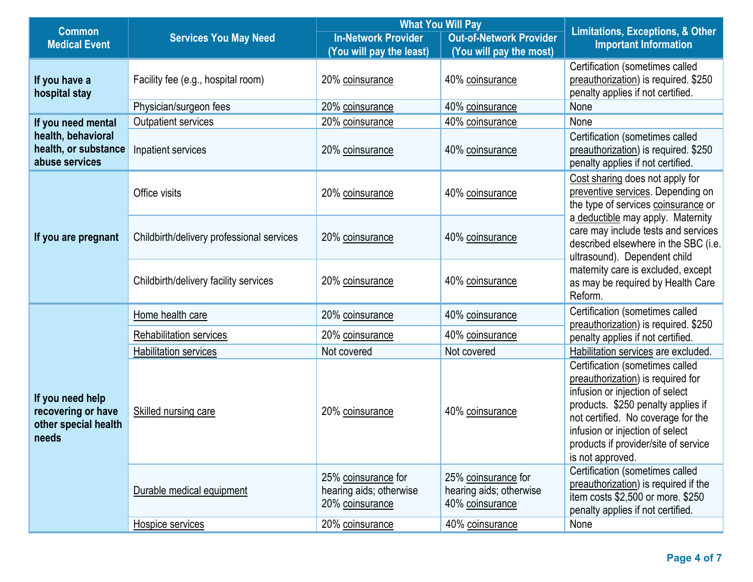| <b>Common</b>                                                           |                                           | <b>What You Will Pay</b>                                          |                                                                   |                                                                                                                                                                                                                                                                                    |
|-------------------------------------------------------------------------|-------------------------------------------|-------------------------------------------------------------------|-------------------------------------------------------------------|------------------------------------------------------------------------------------------------------------------------------------------------------------------------------------------------------------------------------------------------------------------------------------|
| <b>Medical Event</b>                                                    | <b>Services You May Need</b>              | <b>In-Network Provider</b>                                        | <b>Out-of-Network Provider</b>                                    | <b>Limitations, Exceptions, &amp; Other</b><br><b>Important Information</b>                                                                                                                                                                                                        |
|                                                                         |                                           | (You will pay the least)                                          | (You will pay the most)                                           |                                                                                                                                                                                                                                                                                    |
| If you have a<br>hospital stay                                          | Facility fee (e.g., hospital room)        | 20% coinsurance                                                   | 40% coinsurance                                                   | Certification (sometimes called<br>preauthorization) is required. \$250<br>penalty applies if not certified.                                                                                                                                                                       |
|                                                                         | Physician/surgeon fees                    | 20% coinsurance                                                   | 40% coinsurance                                                   | None                                                                                                                                                                                                                                                                               |
| If you need mental                                                      | Outpatient services                       | 20% coinsurance                                                   | 40% coinsurance                                                   | None                                                                                                                                                                                                                                                                               |
| health, behavioral<br>health, or substance<br>abuse services            | Inpatient services                        | 20% coinsurance                                                   | 40% coinsurance                                                   | Certification (sometimes called<br>preauthorization) is required. \$250<br>penalty applies if not certified.                                                                                                                                                                       |
|                                                                         | Office visits                             | 20% coinsurance                                                   | 40% coinsurance                                                   | Cost sharing does not apply for<br>preventive services. Depending on<br>the type of services coinsurance or                                                                                                                                                                        |
| If you are pregnant                                                     | Childbirth/delivery professional services | 20% coinsurance                                                   | 40% coinsurance                                                   | a deductible may apply. Maternity<br>care may include tests and services<br>described elsewhere in the SBC (i.e.<br>ultrasound). Dependent child<br>maternity care is excluded, except<br>as may be required by Health Care<br>Reform.                                             |
|                                                                         | Childbirth/delivery facility services     | 20% coinsurance                                                   | 40% coinsurance                                                   |                                                                                                                                                                                                                                                                                    |
|                                                                         | Home health care                          | 20% coinsurance                                                   | 40% coinsurance                                                   | Certification (sometimes called<br>preauthorization) is required. \$250<br>penalty applies if not certified.                                                                                                                                                                       |
|                                                                         | Rehabilitation services                   | 20% coinsurance                                                   | 40% coinsurance                                                   |                                                                                                                                                                                                                                                                                    |
| If you need help<br>recovering or have<br>other special health<br>needs | <b>Habilitation services</b>              | Not covered                                                       | Not covered                                                       | Habilitation services are excluded.                                                                                                                                                                                                                                                |
|                                                                         | Skilled nursing care                      | 20% coinsurance                                                   | 40% coinsurance                                                   | Certification (sometimes called<br>preauthorization) is required for<br>infusion or injection of select<br>products. \$250 penalty applies if<br>not certified. No coverage for the<br>infusion or injection of select<br>products if provider/site of service<br>is not approved. |
|                                                                         | Durable medical equipment                 | 25% coinsurance for<br>hearing aids; otherwise<br>20% coinsurance | 25% coinsurance for<br>hearing aids; otherwise<br>40% coinsurance | Certification (sometimes called<br>preauthorization) is required if the<br>item costs \$2,500 or more. \$250<br>penalty applies if not certified.                                                                                                                                  |
|                                                                         | Hospice services                          | 20% coinsurance                                                   | 40% coinsurance                                                   | None                                                                                                                                                                                                                                                                               |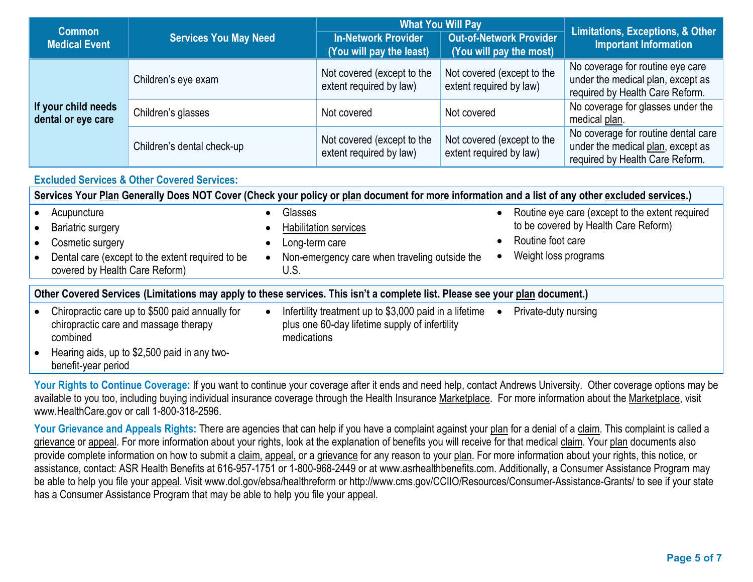|                                           | <b>Services You May Need</b> | <b>What You Will Pay</b>                               |                                                       | <b>Limitations, Exceptions, &amp; Other</b>                                                                 |
|-------------------------------------------|------------------------------|--------------------------------------------------------|-------------------------------------------------------|-------------------------------------------------------------------------------------------------------------|
| <b>Common</b><br><b>Medical Event</b>     |                              | <b>In-Network Provider</b><br>(You will pay the least) | Out-of-Network Provider<br>(You will pay the most)    | <b>Important Information</b>                                                                                |
| If your child needs<br>dental or eye care | Children's eye exam          | Not covered (except to the<br>extent required by law)  | Not covered (except to the<br>extent required by law) | No coverage for routine eye care<br>under the medical plan, except as<br>required by Health Care Reform.    |
|                                           | Children's glasses           | Not covered                                            | Not covered                                           | No coverage for glasses under the<br>medical plan.                                                          |
|                                           | Children's dental check-up   | Not covered (except to the<br>extent required by law)  | Not covered (except to the<br>extent required by law) | No coverage for routine dental care<br>under the medical plan, except as<br>required by Health Care Reform. |

| <b>Excluded Services &amp; Other Covered Services:</b>                                                                                            |                                                                                                                         |                                                                                                                                                                |  |  |
|---------------------------------------------------------------------------------------------------------------------------------------------------|-------------------------------------------------------------------------------------------------------------------------|----------------------------------------------------------------------------------------------------------------------------------------------------------------|--|--|
| Services Your Plan Generally Does NOT Cover (Check your policy or plan document for more information and a list of any other excluded services.)  |                                                                                                                         |                                                                                                                                                                |  |  |
| Acupuncture<br><b>Bariatric surgery</b><br>Cosmetic surgery<br>Dental care (except to the extent required to be<br>covered by Health Care Reform) | Glasses<br><b>Habilitation services</b><br>Long-term care<br>Non-emergency care when traveling outside the<br>U.S.      | Routine eye care (except to the extent required<br>$\bullet$<br>to be covered by Health Care Reform)<br>Routine foot care<br>Weight loss programs<br>$\bullet$ |  |  |
| Other Covered Services (Limitations may apply to these services. This isn't a complete list. Please see your plan document.)                      |                                                                                                                         |                                                                                                                                                                |  |  |
| Chiropractic care up to \$500 paid annually for<br>chiropractic care and massage therapy<br>combined                                              | Infertility treatment up to \$3,000 paid in a lifetime<br>plus one 60-day lifetime supply of infertility<br>medications | Private-duty nursing<br>$\bullet$                                                                                                                              |  |  |
| Hearing aids, up to \$2,500 paid in any two-<br>benefit-year period                                                                               |                                                                                                                         |                                                                                                                                                                |  |  |

Your Rights to Continue Coverage: If you want to continue your coverage after it ends and need help, contact Andrews University. Other coverage options may be available to you too, including buying individual insurance coverage through the Health Insurance Marketplace. For more information about the Marketplace, visit www.HealthCare.gov or call 1-800-318-2596.

Your Grievance and Appeals Rights: There are agencies that can help if you have a complaint against your plan for a denial of a claim. This complaint is called a grievance or appeal. For more information about your rights, look at the explanation of benefits you will receive for that medical claim. Your plan documents also provide complete information on how to submit a claim, appeal, or a grievance for any reason to your plan. For more information about your rights, this notice, or assistance, contact: ASR Health Benefits at 616-957-1751 or 1-800-968-2449 or at www.asrhealthbenefits.com. Additionally, a Consumer Assistance Program may be able to help you file your appeal. Visit www.dol.gov/ebsa/healthreform or http://www.cms.gov/CCIIO/Resources/Consumer-Assistance-Grants/ to see if your state has a Consumer Assistance Program that may be able to help you file your appeal.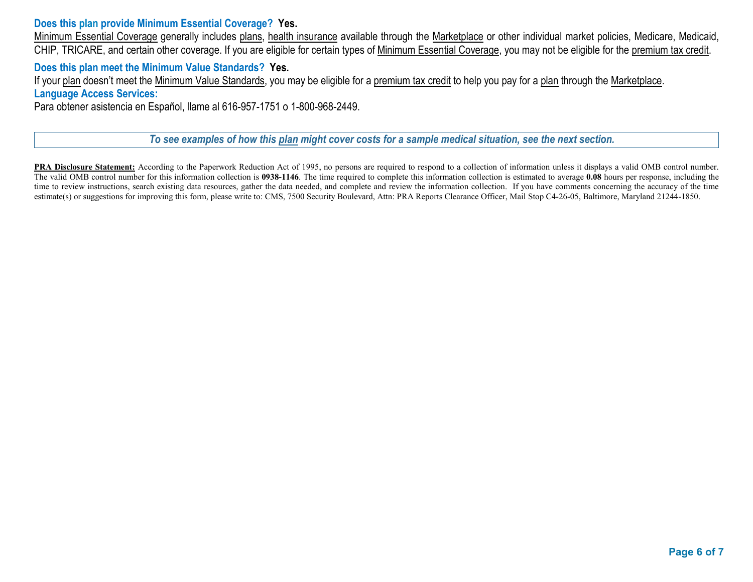## **Does this plan provide Minimum Essential Coverage? Yes.**

Minimum Essential Coverage generally includes plans, health insurance available through the Marketplace or other individual market policies, Medicare, Medicaid, CHIP, TRICARE, and certain other coverage. If you are eligible for certain types of Minimum Essential Coverage, you may not be eligible for the premium tax credit.

### **Does this plan meet the Minimum Value Standards? Yes.**

If your plan doesn't meet the Minimum Value Standards, you may be eligible for a premium tax credit to help you pay for a plan through the Marketplace. **Language Access Services:**

Para obtener asistencia en Español, llame al 616-957-1751 o 1-800-968-2449.

*To see examples of how this plan might cover costs for a sample medical situation, see the next section.*

**PRA Disclosure Statement:** According to the Paperwork Reduction Act of 1995, no persons are required to respond to a collection of information unless it displays a valid OMB control number. The valid OMB control number for this information collection is **0938-1146**. The time required to complete this information collection is estimated to average **0.08** hours per response, including the time to review instructions, search existing data resources, gather the data needed, and complete and review the information collection. If you have comments concerning the accuracy of the time estimate(s) or suggestions for improving this form, please write to: CMS, 7500 Security Boulevard, Attn: PRA Reports Clearance Officer, Mail Stop C4-26-05, Baltimore, Maryland 21244-1850.